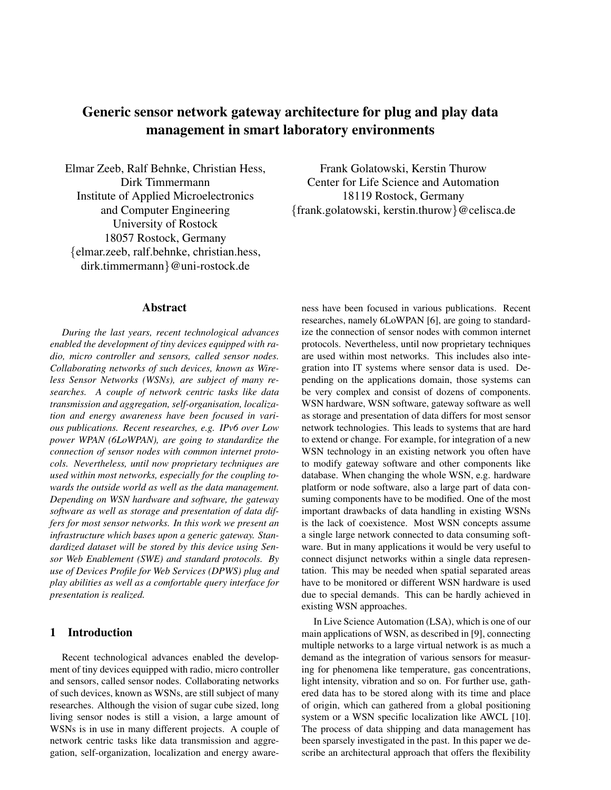# Generic sensor network gateway architecture for plug and play data management in smart laboratory environments

Elmar Zeeb, Ralf Behnke, Christian Hess, Dirk Timmermann Institute of Applied Microelectronics and Computer Engineering University of Rostock 18057 Rostock, Germany {elmar.zeeb, ralf.behnke, christian.hess, dirk.timmermann}@uni-rostock.de

# Abstract

*During the last years, recent technological advances enabled the development of tiny devices equipped with radio, micro controller and sensors, called sensor nodes. Collaborating networks of such devices, known as Wireless Sensor Networks (WSNs), are subject of many researches. A couple of network centric tasks like data transmission and aggregation, self-organisation, localization and energy awareness have been focused in various publications. Recent researches, e.g. IPv6 over Low power WPAN (6LoWPAN), are going to standardize the connection of sensor nodes with common internet protocols. Nevertheless, until now proprietary techniques are used within most networks, especially for the coupling towards the outside world as well as the data management. Depending on WSN hardware and software, the gateway software as well as storage and presentation of data differs for most sensor networks. In this work we present an infrastructure which bases upon a generic gateway. Standardized dataset will be stored by this device using Sensor Web Enablement (SWE) and standard protocols. By use of Devices Profile for Web Services (DPWS) plug and play abilities as well as a comfortable query interface for presentation is realized.*

# 1 Introduction

Recent technological advances enabled the development of tiny devices equipped with radio, micro controller and sensors, called sensor nodes. Collaborating networks of such devices, known as WSNs, are still subject of many researches. Although the vision of sugar cube sized, long living sensor nodes is still a vision, a large amount of WSNs is in use in many different projects. A couple of network centric tasks like data transmission and aggregation, self-organization, localization and energy aware-

Frank Golatowski, Kerstin Thurow Center for Life Science and Automation 18119 Rostock, Germany {frank.golatowski, kerstin.thurow}@celisca.de

ness have been focused in various publications. Recent researches, namely 6LoWPAN [6], are going to standardize the connection of sensor nodes with common internet protocols. Nevertheless, until now proprietary techniques are used within most networks. This includes also integration into IT systems where sensor data is used. Depending on the applications domain, those systems can be very complex and consist of dozens of components. WSN hardware, WSN software, gateway software as well as storage and presentation of data differs for most sensor network technologies. This leads to systems that are hard to extend or change. For example, for integration of a new WSN technology in an existing network you often have to modify gateway software and other components like database. When changing the whole WSN, e.g. hardware platform or node software, also a large part of data consuming components have to be modified. One of the most important drawbacks of data handling in existing WSNs is the lack of coexistence. Most WSN concepts assume a single large network connected to data consuming software. But in many applications it would be very useful to connect disjunct networks within a single data representation. This may be needed when spatial separated areas have to be monitored or different WSN hardware is used due to special demands. This can be hardly achieved in existing WSN approaches.

In Live Science Automation (LSA), which is one of our main applications of WSN, as described in [9], connecting multiple networks to a large virtual network is as much a demand as the integration of various sensors for measuring for phenomena like temperature, gas concentrations, light intensity, vibration and so on. For further use, gathered data has to be stored along with its time and place of origin, which can gathered from a global positioning system or a WSN specific localization like AWCL [10]. The process of data shipping and data management has been sparsely investigated in the past. In this paper we describe an architectural approach that offers the flexibility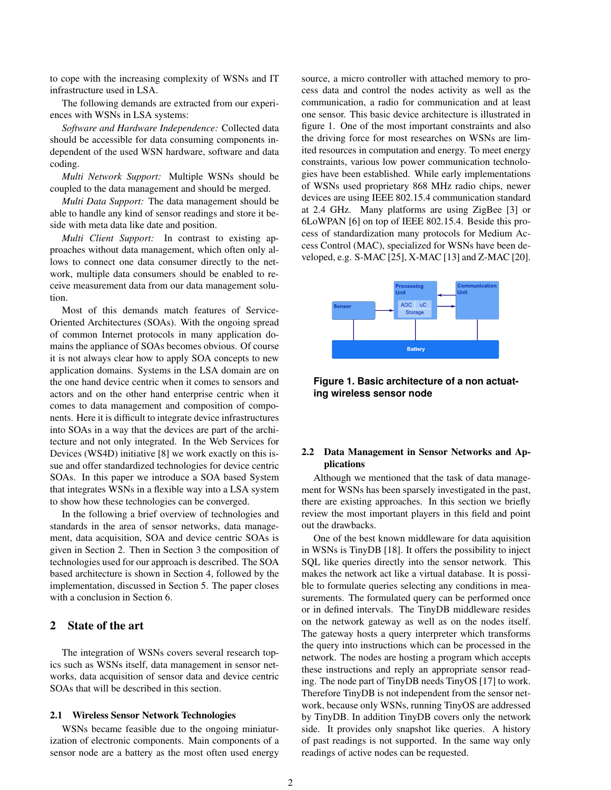to cope with the increasing complexity of WSNs and IT infrastructure used in LSA.

The following demands are extracted from our experiences with WSNs in LSA systems:

*Software and Hardware Independence:* Collected data should be accessible for data consuming components independent of the used WSN hardware, software and data coding.

*Multi Network Support:* Multiple WSNs should be coupled to the data management and should be merged.

*Multi Data Support:* The data management should be able to handle any kind of sensor readings and store it beside with meta data like date and position.

*Multi Client Support:* In contrast to existing approaches without data management, which often only allows to connect one data consumer directly to the network, multiple data consumers should be enabled to receive measurement data from our data management solution.

Most of this demands match features of Service-Oriented Architectures (SOAs). With the ongoing spread of common Internet protocols in many application domains the appliance of SOAs becomes obvious. Of course it is not always clear how to apply SOA concepts to new application domains. Systems in the LSA domain are on the one hand device centric when it comes to sensors and actors and on the other hand enterprise centric when it comes to data management and composition of components. Here it is difficult to integrate device infrastructures into SOAs in a way that the devices are part of the architecture and not only integrated. In the Web Services for Devices (WS4D) initiative [8] we work exactly on this issue and offer standardized technologies for device centric SOAs. In this paper we introduce a SOA based System that integrates WSNs in a flexible way into a LSA system to show how these technologies can be converged.

In the following a brief overview of technologies and standards in the area of sensor networks, data management, data acquisition, SOA and device centric SOAs is given in Section 2. Then in Section 3 the composition of technologies used for our approach is described. The SOA based architecture is shown in Section 4, followed by the implementation, discussed in Section 5. The paper closes with a conclusion in Section 6.

# 2 State of the art

The integration of WSNs covers several research topics such as WSNs itself, data management in sensor networks, data acquisition of sensor data and device centric SOAs that will be described in this section.

#### 2.1 Wireless Sensor Network Technologies

WSNs became feasible due to the ongoing miniaturization of electronic components. Main components of a sensor node are a battery as the most often used energy

source, a micro controller with attached memory to process data and control the nodes activity as well as the communication, a radio for communication and at least one sensor. This basic device architecture is illustrated in figure 1. One of the most important constraints and also the driving force for most researches on WSNs are limited resources in computation and energy. To meet energy constraints, various low power communication technologies have been established. While early implementations of WSNs used proprietary 868 MHz radio chips, newer devices are using IEEE 802.15.4 communication standard at 2.4 GHz. Many platforms are using ZigBee [3] or 6LoWPAN [6] on top of IEEE 802.15.4. Beside this process of standardization many protocols for Medium Access Control (MAC), specialized for WSNs have been developed, e.g. S-MAC [25], X-MAC [13] and Z-MAC [20].



**Figure 1. Basic architecture of a non actuating wireless sensor node**

# 2.2 Data Management in Sensor Networks and Applications

Although we mentioned that the task of data management for WSNs has been sparsely investigated in the past, there are existing approaches. In this section we briefly review the most important players in this field and point out the drawbacks.

One of the best known middleware for data aquisition in WSNs is TinyDB [18]. It offers the possibility to inject SQL like queries directly into the sensor network. This makes the network act like a virtual database. It is possible to formulate queries selecting any conditions in measurements. The formulated query can be performed once or in defined intervals. The TinyDB middleware resides on the network gateway as well as on the nodes itself. The gateway hosts a query interpreter which transforms the query into instructions which can be processed in the network. The nodes are hosting a program which accepts these instructions and reply an appropriate sensor reading. The node part of TinyDB needs TinyOS [17] to work. Therefore TinyDB is not independent from the sensor network, because only WSNs, running TinyOS are addressed by TinyDB. In addition TinyDB covers only the network side. It provides only snapshot like queries. A history of past readings is not supported. In the same way only readings of active nodes can be requested.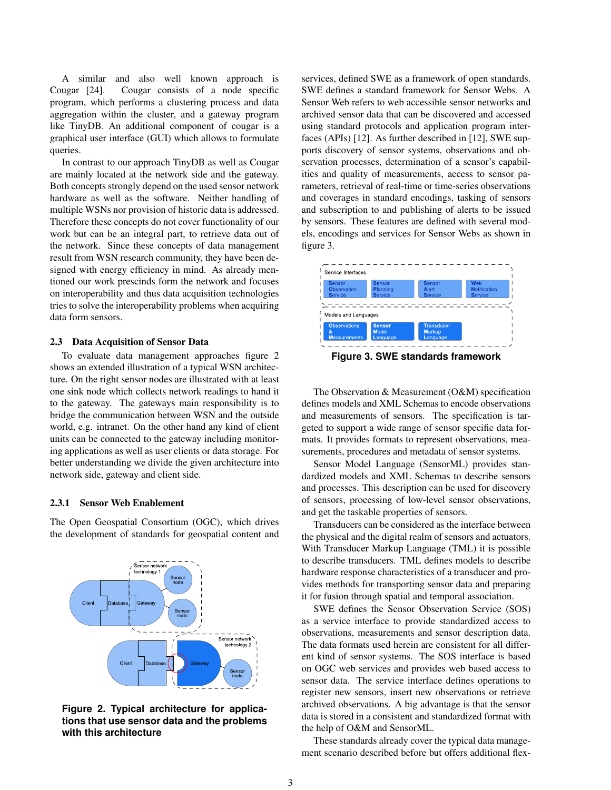A similar and also well known approach is Cougar [24]. Cougar consists of a node specific program, which performs a clustering process and data aggregation within the cluster, and a gateway program like TinyDB. An additional component of cougar is a graphical user interface (GUI) which allows to formulate queries.

In contrast to our approach TinyDB as well as Cougar are mainly located at the network side and the gateway. Both concepts strongly depend on the used sensor network hardware as well as the software. Neither handling of multiple WSNs nor provision of historic data is addressed. Therefore these concepts do not cover functionality of our work but can be an integral part, to retrieve data out of the network. Since these concepts of data management result from WSN research community, they have been designed with energy efficiency in mind. As already mentioned our work prescinds form the network and focuses on interoperability and thus data acquisition technologies tries to solve the interoperability problems when acquiring data form sensors.

#### 2.3 Data Acquisition of Sensor Data

To evaluate data management approaches figure 2 shows an extended illustration of a typical WSN architecture. On the right sensor nodes are illustrated with at least one sink node which collects network readings to hand it to the gateway. The gateways main responsibility is to bridge the communication between WSN and the outside world, e.g. intranet. On the other hand any kind of client units can be connected to the gateway including monitoring applications as well as user clients or data storage. For better understanding we divide the given architecture into network side, gateway and client side.

#### 2.3.1 Sensor Web Enablement

The Open Geospatial Consortium (OGC), which drives the development of standards for geospatial content and



**Figure 2. Typical architecture for applications that use sensor data and the problems with this architecture**

services, defined SWE as a framework of open standards. SWE defines a standard framework for Sensor Webs. A Sensor Web refers to web accessible sensor networks and archived sensor data that can be discovered and accessed using standard protocols and application program interfaces (APIs) [12]. As further described in [12], SWE supports discovery of sensor systems, observations and observation processes, determination of a sensor's capabilities and quality of measurements, access to sensor parameters, retrieval of real-time or time-series observations and coverages in standard encodings, tasking of sensors and subscription to and publishing of alerts to be issued by sensors. These features are defined with several models, encodings and services for Sensor Webs as shown in figure 3.



The Observation & Measurement (O&M) specification defines models and XML Schemas to encode observations and measurements of sensors. The specification is targeted to support a wide range of sensor specific data formats. It provides formats to represent observations, measurements, procedures and metadata of sensor systems.

Sensor Model Language (SensorML) provides standardized models and XML Schemas to describe sensors and processes. This description can be used for discovery of sensors, processing of low-level sensor observations, and get the taskable properties of sensors.

Transducers can be considered as the interface between the physical and the digital realm of sensors and actuators. With Transducer Markup Language (TML) it is possible to describe transducers. TML defines models to describe hardware response characteristics of a transducer and provides methods for transporting sensor data and preparing it for fusion through spatial and temporal association.

SWE defines the Sensor Observation Service (SOS) as a service interface to provide standardized access to observations, measurements and sensor description data. The data formats used herein are consistent for all different kind of sensor systems. The SOS interface is based on OGC web services and provides web based access to sensor data. The service interface defines operations to register new sensors, insert new observations or retrieve archived observations. A big advantage is that the sensor data is stored in a consistent and standardized format with the help of O&M and SensorML.

These standards already cover the typical data management scenario described before but offers additional flex-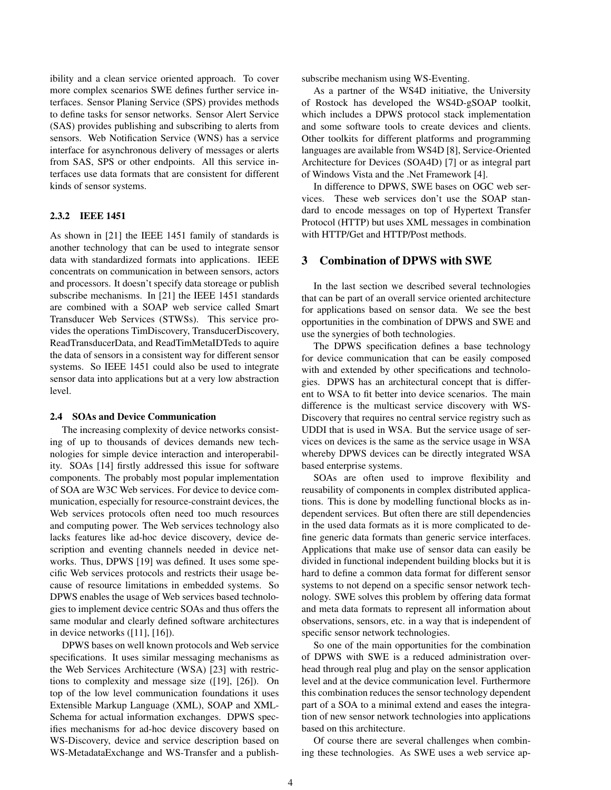ibility and a clean service oriented approach. To cover more complex scenarios SWE defines further service interfaces. Sensor Planing Service (SPS) provides methods to define tasks for sensor networks. Sensor Alert Service (SAS) provides publishing and subscribing to alerts from sensors. Web Notification Service (WNS) has a service interface for asynchronous delivery of messages or alerts from SAS, SPS or other endpoints. All this service interfaces use data formats that are consistent for different kinds of sensor systems.

### 2.3.2 IEEE 1451

As shown in [21] the IEEE 1451 family of standards is another technology that can be used to integrate sensor data with standardized formats into applications. IEEE concentrats on communication in between sensors, actors and processors. It doesn't specify data storeage or publish subscribe mechanisms. In [21] the IEEE 1451 standards are combined with a SOAP web service called Smart Transducer Web Services (STWSs). This service provides the operations TimDiscovery, TransducerDiscovery, ReadTransducerData, and ReadTimMetaIDTeds to aquire the data of sensors in a consistent way for different sensor systems. So IEEE 1451 could also be used to integrate sensor data into applications but at a very low abstraction level.

### 2.4 SOAs and Device Communication

The increasing complexity of device networks consisting of up to thousands of devices demands new technologies for simple device interaction and interoperability. SOAs [14] firstly addressed this issue for software components. The probably most popular implementation of SOA are W3C Web services. For device to device communication, especially for resource-constraint devices, the Web services protocols often need too much resources and computing power. The Web services technology also lacks features like ad-hoc device discovery, device description and eventing channels needed in device networks. Thus, DPWS [19] was defined. It uses some specific Web services protocols and restricts their usage because of resource limitations in embedded systems. So DPWS enables the usage of Web services based technologies to implement device centric SOAs and thus offers the same modular and clearly defined software architectures in device networks ([11], [16]).

DPWS bases on well known protocols and Web service specifications. It uses similar messaging mechanisms as the Web Services Architecture (WSA) [23] with restrictions to complexity and message size ([19], [26]). On top of the low level communication foundations it uses Extensible Markup Language (XML), SOAP and XML-Schema for actual information exchanges. DPWS specifies mechanisms for ad-hoc device discovery based on WS-Discovery, device and service description based on WS-MetadataExchange and WS-Transfer and a publishsubscribe mechanism using WS-Eventing.

As a partner of the WS4D initiative, the University of Rostock has developed the WS4D-gSOAP toolkit, which includes a DPWS protocol stack implementation and some software tools to create devices and clients. Other toolkits for different platforms and programming languages are available from WS4D [8], Service-Oriented Architecture for Devices (SOA4D) [7] or as integral part of Windows Vista and the .Net Framework [4].

In difference to DPWS, SWE bases on OGC web services. These web services don't use the SOAP standard to encode messages on top of Hypertext Transfer Protocol (HTTP) but uses XML messages in combination with HTTP/Get and HTTP/Post methods.

# 3 Combination of DPWS with SWE

In the last section we described several technologies that can be part of an overall service oriented architecture for applications based on sensor data. We see the best opportunities in the combination of DPWS and SWE and use the synergies of both technologies.

The DPWS specification defines a base technology for device communication that can be easily composed with and extended by other specifications and technologies. DPWS has an architectural concept that is different to WSA to fit better into device scenarios. The main difference is the multicast service discovery with WS-Discovery that requires no central service registry such as UDDI that is used in WSA. But the service usage of services on devices is the same as the service usage in WSA whereby DPWS devices can be directly integrated WSA based enterprise systems.

SOAs are often used to improve flexibility and reusability of components in complex distributed applications. This is done by modelling functional blocks as independent services. But often there are still dependencies in the used data formats as it is more complicated to define generic data formats than generic service interfaces. Applications that make use of sensor data can easily be divided in functional independent building blocks but it is hard to define a common data format for different sensor systems to not depend on a specific sensor network technology. SWE solves this problem by offering data format and meta data formats to represent all information about observations, sensors, etc. in a way that is independent of specific sensor network technologies.

So one of the main opportunities for the combination of DPWS with SWE is a reduced administration overhead through real plug and play on the sensor application level and at the device communication level. Furthermore this combination reduces the sensor technology dependent part of a SOA to a minimal extend and eases the integration of new sensor network technologies into applications based on this architecture.

Of course there are several challenges when combining these technologies. As SWE uses a web service ap-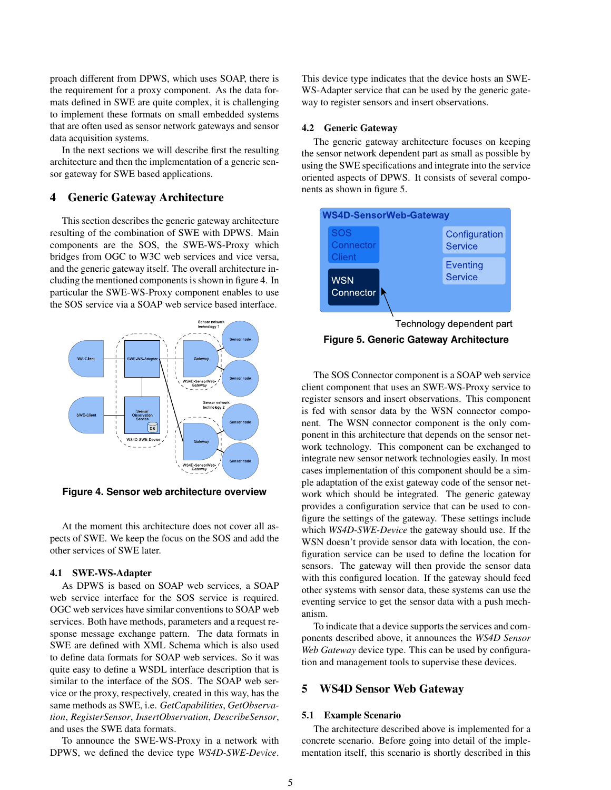proach different from DPWS, which uses SOAP, there is the requirement for a proxy component. As the data formats defined in SWE are quite complex, it is challenging to implement these formats on small embedded systems that are often used as sensor network gateways and sensor data acquisition systems.

In the next sections we will describe first the resulting architecture and then the implementation of a generic sensor gateway for SWE based applications.

# 4 Generic Gateway Architecture

This section describes the generic gateway architecture resulting of the combination of SWE with DPWS. Main components are the SOS, the SWE-WS-Proxy which bridges from OGC to W3C web services and vice versa, and the generic gateway itself. The overall architecture including the mentioned components is shown in figure 4. In particular the SWE-WS-Proxy component enables to use the SOS service via a SOAP web service based interface.



**Figure 4. Sensor web architecture overview**

At the moment this architecture does not cover all aspects of SWE. We keep the focus on the SOS and add the other services of SWE later.

#### 4.1 SWE-WS-Adapter

As DPWS is based on SOAP web services, a SOAP web service interface for the SOS service is required. OGC web services have similar conventions to SOAP web services. Both have methods, parameters and a request response message exchange pattern. The data formats in SWE are defined with XML Schema which is also used to define data formats for SOAP web services. So it was quite easy to define a WSDL interface description that is similar to the interface of the SOS. The SOAP web service or the proxy, respectively, created in this way, has the same methods as SWE, i.e. *GetCapabilities*, *GetObservation*, *RegisterSensor*, *InsertObservation*, *DescribeSensor*, and uses the SWE data formats.

To announce the SWE-WS-Proxy in a network with DPWS, we defined the device type *WS4D-SWE-Device*.

This device type indicates that the device hosts an SWE-WS-Adapter service that can be used by the generic gateway to register sensors and insert observations.

#### 4.2 Generic Gateway

The generic gateway architecture focuses on keeping the sensor network dependent part as small as possible by using the SWE specifications and integrate into the service oriented aspects of DPWS. It consists of several components as shown in figure 5.



Technology dependent part

**Figure 5. Generic Gateway Architecture**

The SOS Connector component is a SOAP web service client component that uses an SWE-WS-Proxy service to register sensors and insert observations. This component is fed with sensor data by the WSN connector component. The WSN connector component is the only component in this architecture that depends on the sensor network technology. This component can be exchanged to integrate new sensor network technologies easily. In most cases implementation of this component should be a simple adaptation of the exist gateway code of the sensor network which should be integrated. The generic gateway provides a configuration service that can be used to configure the settings of the gateway. These settings include which *WS4D-SWE-Device* the gateway should use. If the WSN doesn't provide sensor data with location, the configuration service can be used to define the location for sensors. The gateway will then provide the sensor data with this configured location. If the gateway should feed other systems with sensor data, these systems can use the eventing service to get the sensor data with a push mechanism.

To indicate that a device supports the services and components described above, it announces the *WS4D Sensor Web Gateway* device type. This can be used by configuration and management tools to supervise these devices.

# 5 WS4D Sensor Web Gateway

#### 5.1 Example Scenario

The architecture described above is implemented for a concrete scenario. Before going into detail of the implementation itself, this scenario is shortly described in this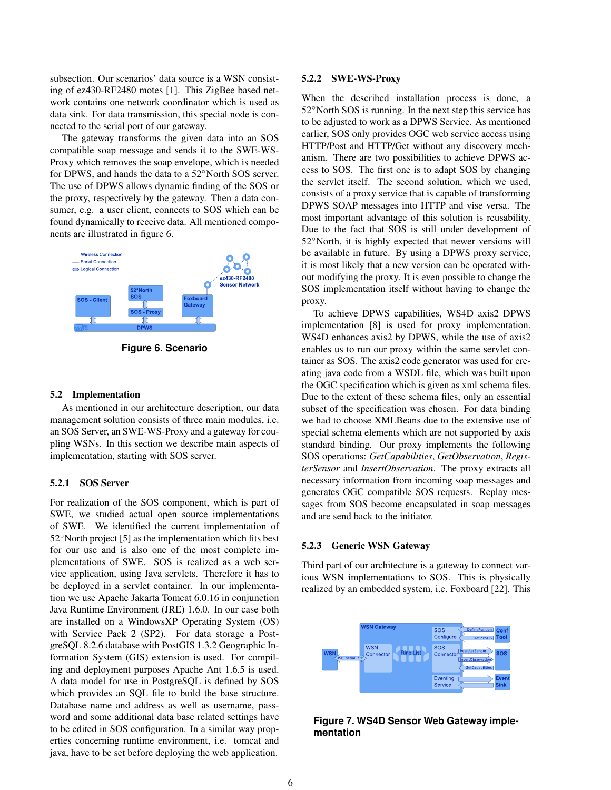subsection. Our scenarios' data source is a WSN consisting of ez430-RF2480 motes [1]. This ZigBee based network contains one network coordinator which is used as data sink. For data transmission, this special node is connected to the serial port of our gateway.

The gateway transforms the given data into an SOS compatible soap message and sends it to the SWE-WS-Proxy which removes the soap envelope, which is needed for DPWS, and hands the data to a 52◦North SOS server. The use of DPWS allows dynamic finding of the SOS or the proxy, respectively by the gateway. Then a data consumer, e.g. a user client, connects to SOS which can be found dynamically to receive data. All mentioned components are illustrated in figure 6.



**Figure 6. Scenario**

# 5.2 Implementation

As mentioned in our architecture description, our data management solution consists of three main modules, i.e. an SOS Server, an SWE-WS-Proxy and a gateway for coupling WSNs. In this section we describe main aspects of implementation, starting with SOS server.

# 5.2.1 SOS Server

For realization of the SOS component, which is part of SWE, we studied actual open source implementations of SWE. We identified the current implementation of 52◦North project [5] as the implementation which fits best for our use and is also one of the most complete implementations of SWE. SOS is realized as a web service application, using Java servlets. Therefore it has to be deployed in a servlet container. In our implementation we use Apache Jakarta Tomcat 6.0.16 in conjunction Java Runtime Environment (JRE) 1.6.0. In our case both are installed on a WindowsXP Operating System (OS) with Service Pack 2 (SP2). For data storage a PostgreSQL 8.2.6 database with PostGIS 1.3.2 Geographic Information System (GIS) extension is used. For compiling and deployment purposes Apache Ant 1.6.5 is used. A data model for use in PostgreSQL is defined by SOS which provides an SQL file to build the base structure. Database name and address as well as username, password and some additional data base related settings have to be edited in SOS configuration. In a similar way properties concerning runtime environment, i.e. tomcat and java, have to be set before deploying the web application.

# 5.2.2 SWE-WS-Proxy

When the described installation process is done, a 52<sup>°</sup>North SOS is running. In the next step this service has to be adjusted to work as a DPWS Service. As mentioned earlier, SOS only provides OGC web service access using HTTP/Post and HTTP/Get without any discovery mechanism. There are two possibilities to achieve DPWS access to SOS. The first one is to adapt SOS by changing the servlet itself. The second solution, which we used, consists of a proxy service that is capable of transforming DPWS SOAP messages into HTTP and vise versa. The most important advantage of this solution is reusability. Due to the fact that SOS is still under development of 52°North, it is highly expected that newer versions will be available in future. By using a DPWS proxy service, it is most likely that a new version can be operated without modifying the proxy. It is even possible to change the SOS implementation itself without having to change the proxy.

To achieve DPWS capabilities, WS4D axis2 DPWS implementation [8] is used for proxy implementation. WS4D enhances axis2 by DPWS, while the use of axis2 enables us to run our proxy within the same servlet container as SOS. The axis2 code generator was used for creating java code from a WSDL file, which was built upon the OGC specification which is given as xml schema files. Due to the extent of these schema files, only an essential subset of the specification was chosen. For data binding we had to choose XMLBeans due to the extensive use of special schema elements which are not supported by axis standard binding. Our proxy implements the following SOS operations: *GetCapabilities*, *GetObservation*, *RegisterSensor* and *InsertObservation*. The proxy extracts all necessary information from incoming soap messages and generates OGC compatible SOS requests. Replay messages from SOS become encapsulated in soap messages and are send back to the initiator.

#### 5.2.3 Generic WSN Gateway

Third part of our architecture is a gateway to connect various WSN implementations to SOS. This is physically realized by an embedded system, i.e. Foxboard [22]. This



**Figure 7. WS4D Sensor Web Gateway implementation**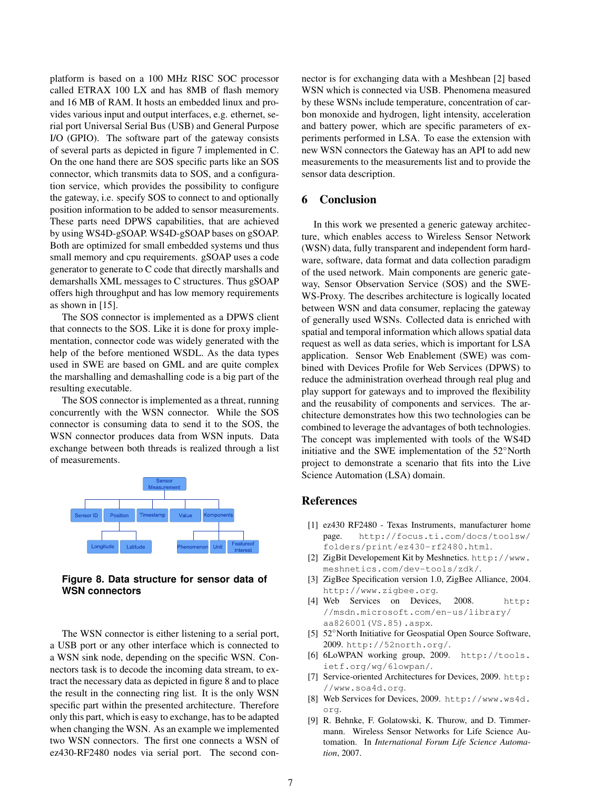platform is based on a 100 MHz RISC SOC processor called ETRAX 100 LX and has 8MB of flash memory and 16 MB of RAM. It hosts an embedded linux and provides various input and output interfaces, e.g. ethernet, serial port Universal Serial Bus (USB) and General Purpose I/O (GPIO). The software part of the gateway consists of several parts as depicted in figure 7 implemented in C. On the one hand there are SOS specific parts like an SOS connector, which transmits data to SOS, and a configuration service, which provides the possibility to configure the gateway, i.e. specify SOS to connect to and optionally position information to be added to sensor measurements. These parts need DPWS capabilities, that are achieved by using WS4D-gSOAP. WS4D-gSOAP bases on gSOAP. Both are optimized for small embedded systems und thus small memory and cpu requirements. gSOAP uses a code generator to generate to C code that directly marshalls and demarshalls XML messages to C structures. Thus gSOAP offers high throughput and has low memory requirements as shown in [15].

The SOS connector is implemented as a DPWS client that connects to the SOS. Like it is done for proxy implementation, connector code was widely generated with the help of the before mentioned WSDL. As the data types used in SWE are based on GML and are quite complex the marshalling and demashalling code is a big part of the resulting executable.

The SOS connector is implemented as a threat, running concurrently with the WSN connector. While the SOS connector is consuming data to send it to the SOS, the WSN connector produces data from WSN inputs. Data exchange between both threads is realized through a list of measurements.



**Figure 8. Data structure for sensor data of WSN connectors**

The WSN connector is either listening to a serial port, a USB port or any other interface which is connected to a WSN sink node, depending on the specific WSN. Connectors task is to decode the incoming data stream, to extract the necessary data as depicted in figure 8 and to place the result in the connecting ring list. It is the only WSN specific part within the presented architecture. Therefore only this part, which is easy to exchange, has to be adapted when changing the WSN. As an example we implemented two WSN connectors. The first one connects a WSN of ez430-RF2480 nodes via serial port. The second connector is for exchanging data with a Meshbean [2] based WSN which is connected via USB. Phenomena measured by these WSNs include temperature, concentration of carbon monoxide and hydrogen, light intensity, acceleration and battery power, which are specific parameters of experiments performed in LSA. To ease the extension with new WSN connectors the Gateway has an API to add new measurements to the measurements list and to provide the sensor data description.

# 6 Conclusion

In this work we presented a generic gateway architecture, which enables access to Wireless Sensor Network (WSN) data, fully transparent and independent form hardware, software, data format and data collection paradigm of the used network. Main components are generic gateway, Sensor Observation Service (SOS) and the SWE-WS-Proxy. The describes architecture is logically located between WSN and data consumer, replacing the gateway of generally used WSNs. Collected data is enriched with spatial and temporal information which allows spatial data request as well as data series, which is important for LSA application. Sensor Web Enablement (SWE) was combined with Devices Profile for Web Services (DPWS) to reduce the administration overhead through real plug and play support for gateways and to improved the flexibility and the reusability of components and services. The architecture demonstrates how this two technologies can be combined to leverage the advantages of both technologies. The concept was implemented with tools of the WS4D initiative and the SWE implementation of the 52◦North project to demonstrate a scenario that fits into the Live Science Automation (LSA) domain.

# References

- [1] ez430 RF2480 Texas Instruments, manufacturer home page. http://focus.ti.com/docs/toolsw/ folders/print/ez430-rf2480.html.
- [2] ZigBit Developement Kit by Meshnetics. http://www. meshnetics.com/dev-tools/zdk/.
- [3] ZigBee Specification version 1.0, ZigBee Alliance, 2004. http://www.zigbee.org.
- [4] Web Services on Devices, 2008. http: //msdn.microsoft.com/en-us/library/ aa826001(VS.85).aspx.
- [5] 52°North Initiative for Geospatial Open Source Software, 2009. http://52north.org/.
- [6] 6LoWPAN working group, 2009. http://tools. ietf.org/wg/6lowpan/.
- [7] Service-oriented Architectures for Devices, 2009. http: //www.soa4d.org.
- [8] Web Services for Devices, 2009. http://www.ws4d. org.
- [9] R. Behnke, F. Golatowski, K. Thurow, and D. Timmermann. Wireless Sensor Networks for Life Science Automation. In *International Forum Life Science Automation*, 2007.